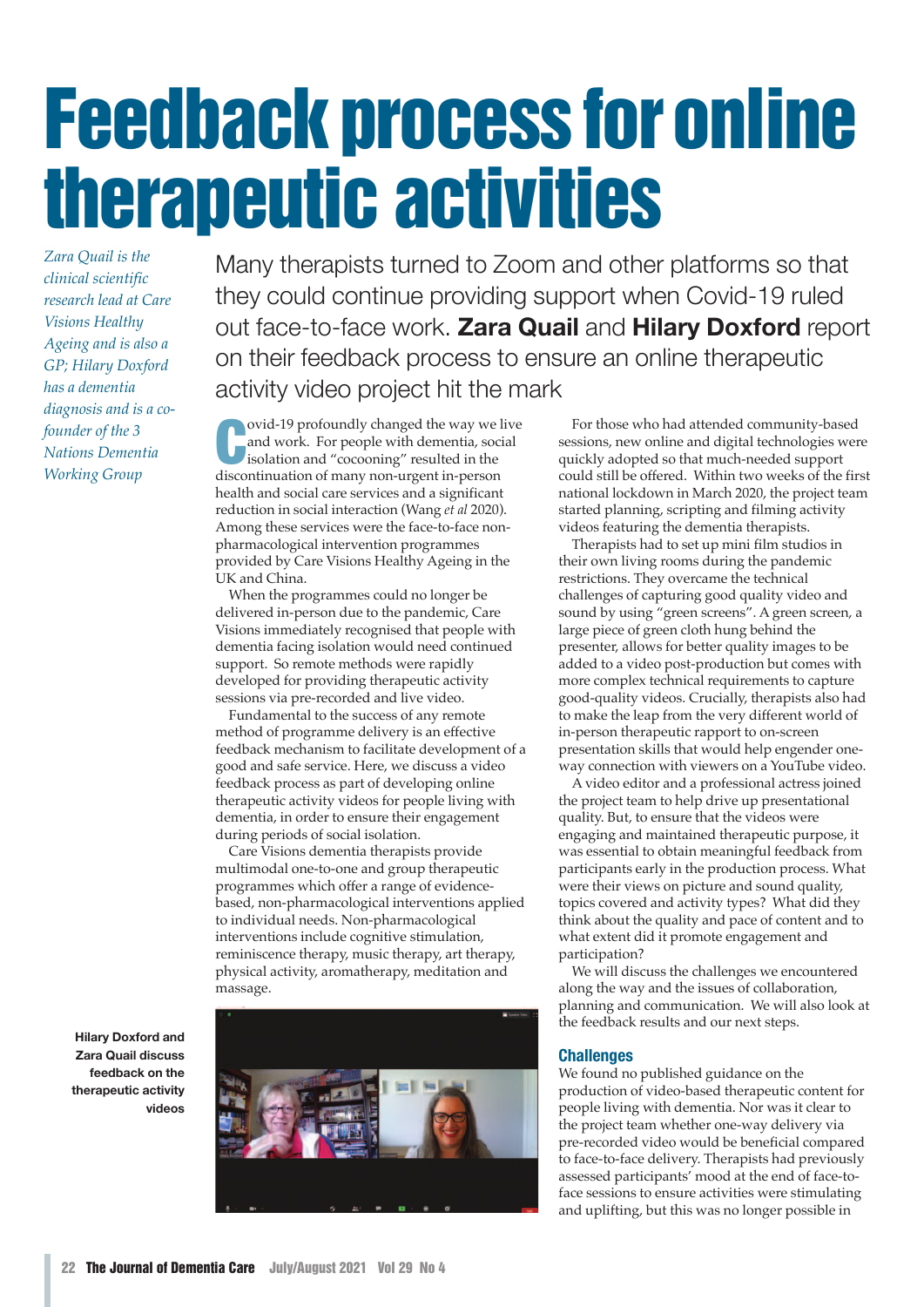# Feedback process for online therapeutic activities

*Zara Quail is the clinical scientific research lead at Care Visions Healthy Ageing and is also a GP; Hilary Doxford has a dementia diagnosis and is a cofounder of the 3 Nations Dementia Working Group*

Many therapists turned to Zoom and other platforms so that they could continue providing support when Covid-19 ruled out face-to-face work. **Zara Quail** and **Hilary Doxford** report on their feedback process to ensure an online therapeutic activity video project hit the mark

ovid-19 profoundly changed the way we<br>and work. For people with dementia, soc<br>isolation and "cocooning" resulted in the<br>discontinuation of many non-urgent in-person ovid-19 profoundly changed the way we live and work. For people with dementia, social isolation and "cocooning" resulted in the health and social care services and a significant reduction in social interaction (Wang *et al* 2020). Among these services were the face-to-face nonpharmacological intervention programmes provided by Care Visions Healthy Ageing in the UK and China.

When the programmes could no longer be delivered in-person due to the pandemic, Care Visions immediately recognised that people with dementia facing isolation would need continued support. So remote methods were rapidly developed for providing therapeutic activity sessions via pre-recorded and live video.

Fundamental to the success of any remote method of programme delivery is an effective feedback mechanism to facilitate development of a good and safe service. Here, we discuss a video feedback process as part of developing online therapeutic activity videos for people living with dementia, in order to ensure their engagement during periods of social isolation.

Care Visions dementia therapists provide multimodal one-to-one and group therapeutic programmes which offer a range of evidencebased, non-pharmacological interventions applied to individual needs. Non-pharmacological interventions include cognitive stimulation, reminiscence therapy, music therapy, art therapy, physical activity, aromatherapy, meditation and massage.

**Hilary Doxford and Zara Quail discuss feedback on the therapeutic activity videos**

For those who had attended community-based sessions, new online and digital technologies were quickly adopted so that much-needed support could still be offered. Within two weeks of the first national lockdown in March 2020, the project team started planning, scripting and filming activity videos featuring the dementia therapists.

Therapists had to set up mini film studios in their own living rooms during the pandemic restrictions. They overcame the technical challenges of capturing good quality video and sound by using "green screens". A green screen, a large piece of green cloth hung behind the presenter, allows for better quality images to be added to a video post-production but comes with more complex technical requirements to capture good-quality videos. Crucially, therapists also had to make the leap from the very different world of in-person therapeutic rapport to on-screen presentation skills that would help engender oneway connection with viewers on a YouTube video.

A video editor and a professional actress joined the project team to help drive up presentational quality. But, to ensure that the videos were engaging and maintained therapeutic purpose, it was essential to obtain meaningful feedback from participants early in the production process. What were their views on picture and sound quality, topics covered and activity types? What did they think about the quality and pace of content and to what extent did it promote engagement and participation?

We will discuss the challenges we encountered along the way and the issues of collaboration, planning and communication. We will also look at the feedback results and our next steps.

# **Challenges**

We found no published guidance on the production of video-based therapeutic content for people living with dementia. Nor was it clear to the project team whether one-way delivery via pre-recorded video would be beneficial compared to face-to-face delivery. Therapists had previously assessed participants' mood at the end of face-toface sessions to ensure activities were stimulating and uplifting, but this was no longer possible in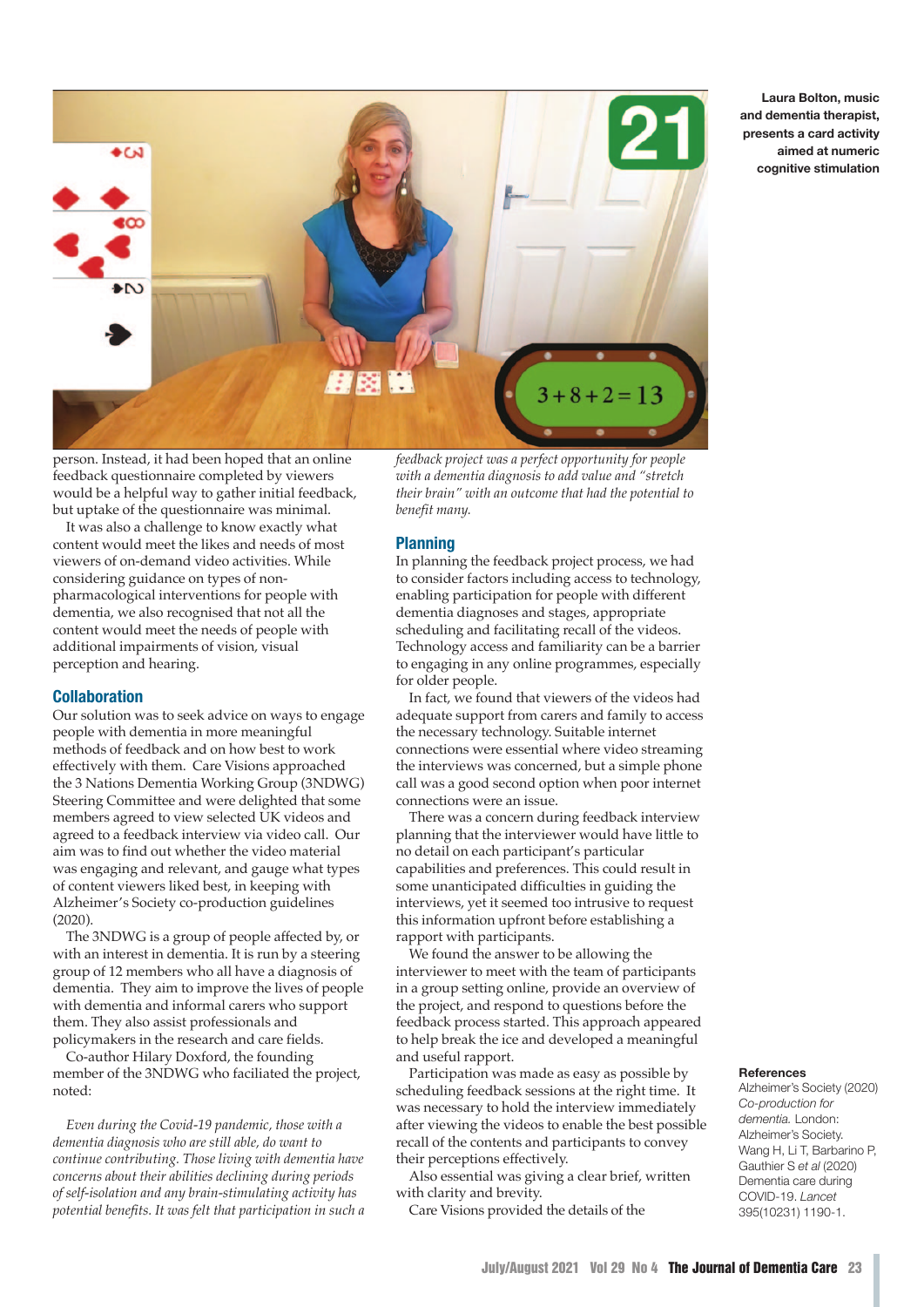

**Laura Bolton, music and dementia therapist, presents a card activity aimed at numeric cognitive stimulation**

person. Instead, it had been hoped that an online feedback questionnaire completed by viewers would be a helpful way to gather initial feedback, but uptake of the questionnaire was minimal.

It was also a challenge to know exactly what content would meet the likes and needs of most viewers of on-demand video activities. While considering guidance on types of nonpharmacological interventions for people with dementia, we also recognised that not all the content would meet the needs of people with additional impairments of vision, visual perception and hearing.

# **Collaboration**

Our solution was to seek advice on ways to engage people with dementia in more meaningful methods of feedback and on how best to work effectively with them. Care Visions approached the 3 Nations Dementia Working Group (3NDWG) Steering Committee and were delighted that some members agreed to view selected UK videos and agreed to a feedback interview via video call. Our aim was to find out whether the video material was engaging and relevant, and gauge what types of content viewers liked best, in keeping with Alzheimer's Society co-production guidelines (2020).

The 3NDWG is a group of people affected by, or with an interest in dementia. It is run by a steering group of 12 members who all have a diagnosis of dementia. They aim to improve the lives of people with dementia and informal carers who support them. They also assist professionals and policymakers in the research and care fields.

Co-author Hilary Doxford, the founding member of the 3NDWG who faciliated the project, noted:

*Even during the Covid-19 pandemic, those with a dementia diagnosis who are still able, do want to continue contributing. Those living with dementia have concerns about their abilities declining during periods of self-isolation and any brain-stimulating activity has potential benefits. It was felt that participation in such a* *feedback project was a perfect opportunity for people with a dementia diagnosis to add value and "stretch their brain" with an outcome that had the potential to benefit many.*

## **Planning**

In planning the feedback project process, we had to consider factors including access to technology, enabling participation for people with different dementia diagnoses and stages, appropriate scheduling and facilitating recall of the videos. Technology access and familiarity can be a barrier to engaging in any online programmes, especially for older people.

In fact, we found that viewers of the videos had adequate support from carers and family to access the necessary technology. Suitable internet connections were essential where video streaming the interviews was concerned, but a simple phone call was a good second option when poor internet connections were an issue.

There was a concern during feedback interview planning that the interviewer would have little to no detail on each participant's particular capabilities and preferences. This could result in some unanticipated difficulties in guiding the interviews, yet it seemed too intrusive to request this information upfront before establishing a rapport with participants.

We found the answer to be allowing the interviewer to meet with the team of participants in a group setting online, provide an overview of the project, and respond to questions before the feedback process started. This approach appeared to help break the ice and developed a meaningful and useful rapport.

Participation was made as easy as possible by scheduling feedback sessions at the right time. It was necessary to hold the interview immediately after viewing the videos to enable the best possible recall of the contents and participants to convey their perceptions effectively.

Also essential was giving a clear brief, written with clarity and brevity.

Care Visions provided the details of the

### **References**

Alzheimer's Society (2020) *Co-production for dementia.* London: Alzheimer's Society. Wang H, Li T, Barbarino P, Gauthier S *et al* (2020) Dementia care during COVID-19. *Lancet* 395(10231) 1190-1.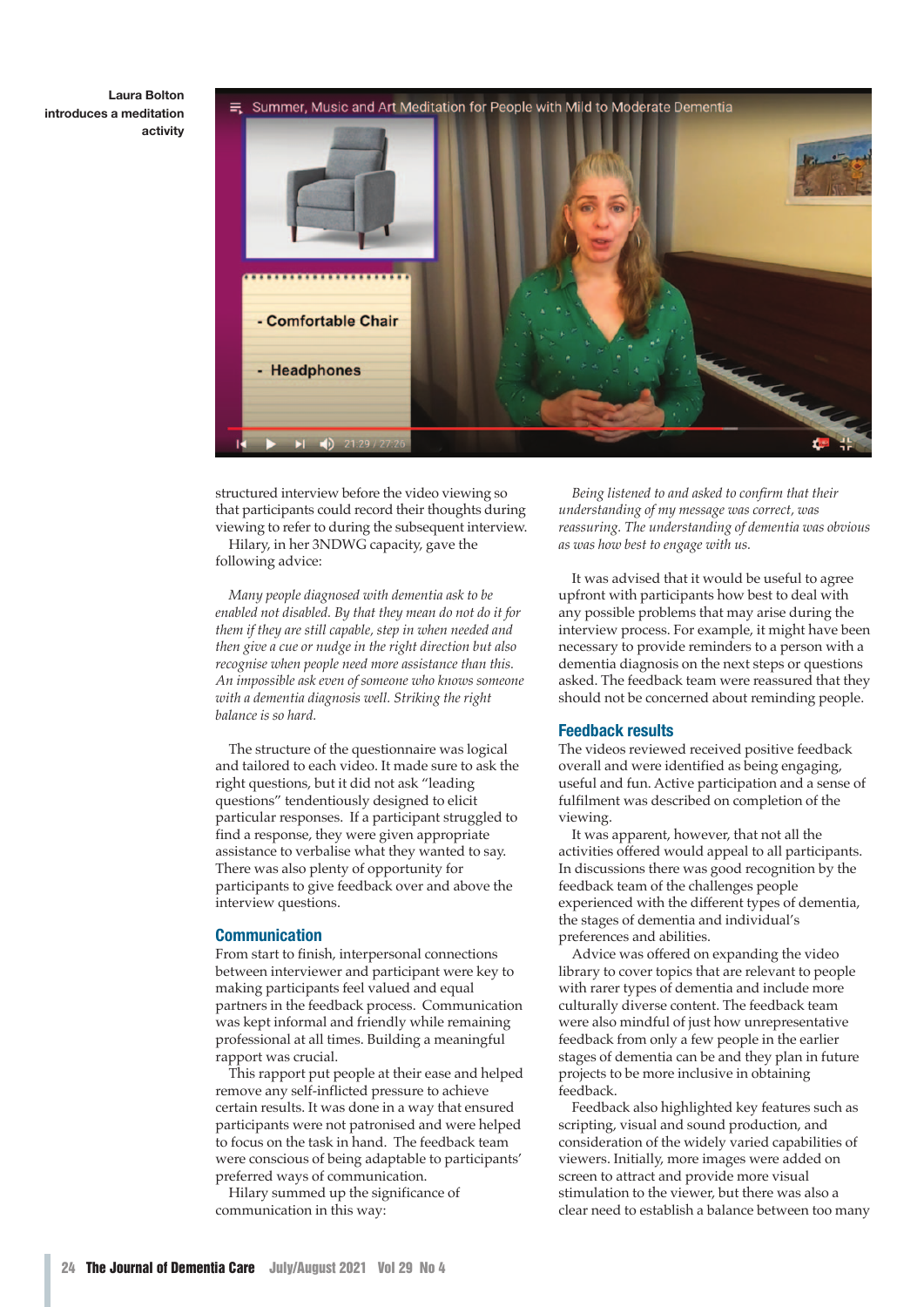**Laura Bolton introduces a meditation activity**

Summer, Music and Art Meditation for People with Mild to Moderate Dementia



structured interview before the video viewing so that participants could record their thoughts during viewing to refer to during the subsequent interview.

Hilary, in her 3NDWG capacity, gave the following advice:

*Many people diagnosed with dementia ask to be enabled not disabled. By that they mean do not do it for them if they are still capable, step in when needed and then give a cue or nudge in the right direction but also recognise when people need more assistance than this. An impossible ask even of someone who knows someone with a dementia diagnosis well. Striking the right balance is so hard.* 

The structure of the questionnaire was logical and tailored to each video. It made sure to ask the right questions, but it did not ask "leading questions" tendentiously designed to elicit particular responses. If a participant struggled to find a response, they were given appropriate assistance to verbalise what they wanted to say. There was also plenty of opportunity for participants to give feedback over and above the interview questions.

### **Communication**

From start to finish, interpersonal connections between interviewer and participant were key to making participants feel valued and equal partners in the feedback process. Communication was kept informal and friendly while remaining professional at all times. Building a meaningful rapport was crucial.

This rapport put people at their ease and helped remove any self-inflicted pressure to achieve certain results. It was done in a way that ensured participants were not patronised and were helped to focus on the task in hand. The feedback team were conscious of being adaptable to participants' preferred ways of communication.

Hilary summed up the significance of communication in this way:

*Being listened to and asked to confirm that their understanding of my message was correct, was reassuring. The understanding of dementia was obvious as was how best to engage with us.*

It was advised that it would be useful to agree upfront with participants how best to deal with any possible problems that may arise during the interview process. For example, it might have been necessary to provide reminders to a person with a dementia diagnosis on the next steps or questions asked. The feedback team were reassured that they should not be concerned about reminding people.

### **Feedback results**

The videos reviewed received positive feedback overall and were identified as being engaging, useful and fun. Active participation and a sense of fulfilment was described on completion of the viewing.

It was apparent, however, that not all the activities offered would appeal to all participants. In discussions there was good recognition by the feedback team of the challenges people experienced with the different types of dementia, the stages of dementia and individual's preferences and abilities.

Advice was offered on expanding the video library to cover topics that are relevant to people with rarer types of dementia and include more culturally diverse content. The feedback team were also mindful of just how unrepresentative feedback from only a few people in the earlier stages of dementia can be and they plan in future projects to be more inclusive in obtaining feedback.

Feedback also highlighted key features such as scripting, visual and sound production, and consideration of the widely varied capabilities of viewers. Initially, more images were added on screen to attract and provide more visual stimulation to the viewer, but there was also a clear need to establish a balance between too many